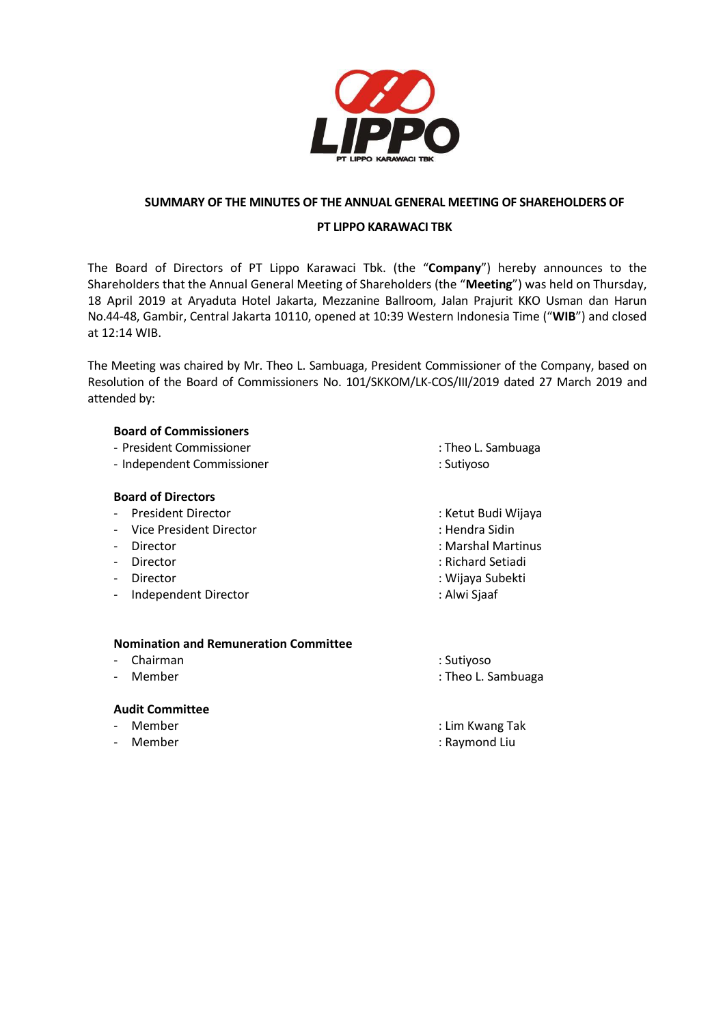

## **SUMMARY OF THE MINUTES OF THE ANNUAL GENERAL MEETING OF SHAREHOLDERS OF**

## **PT LIPPO KARAWACI TBK**

The Board of Directors of PT Lippo Karawaci Tbk. (the "**Company**") hereby announces to the Shareholders that the Annual General Meeting of Shareholders (the "**Meeting**") was held on Thursday, 18 April 2019 at Aryaduta Hotel Jakarta, Mezzanine Ballroom, Jalan Prajurit KKO Usman dan Harun No.44-48, Gambir, Central Jakarta 10110, opened at 10:39 Western Indonesia Time ("**WIB**") and closed at 12:14 WIB.

The Meeting was chaired by Mr. Theo L. Sambuaga, President Commissioner of the Company, based on Resolution of the Board of Commissioners No. 101/SKKOM/LK-COS/III/2019 dated 27 March 2019 and attended by:

#### **Board of Commissioners**

- President Commissioner : Theo L. Sambuaga
- Independent Commissioner : Sutiyoso

#### **Board of Directors**

- President Director **in American Control of the Control**: Ketut Budi Wijaya
- Vice President Director **: Hendra Sidin** : Hendra Sidin
- 
- 
- 
- Independent Director **in the set of the Contract Oriental** : Alwi Sjaaf

- 
- 
- Director : Marshal Martinus : Marshal Martinus : Marshal Martinus : Marshal Martinus : Marshal Martinus : Ma
- Director : Richard Setiadi
- Director : Wijaya Subekti
	-

## **Nomination and Remuneration Committee**

- Chairman : Sutiyoso
- 

#### **Audit Committee**

- 
- 
- 
- Member : Theo L. Sambuaga
	- Member : Lim Kwang Tak
- Member : Naymond Liu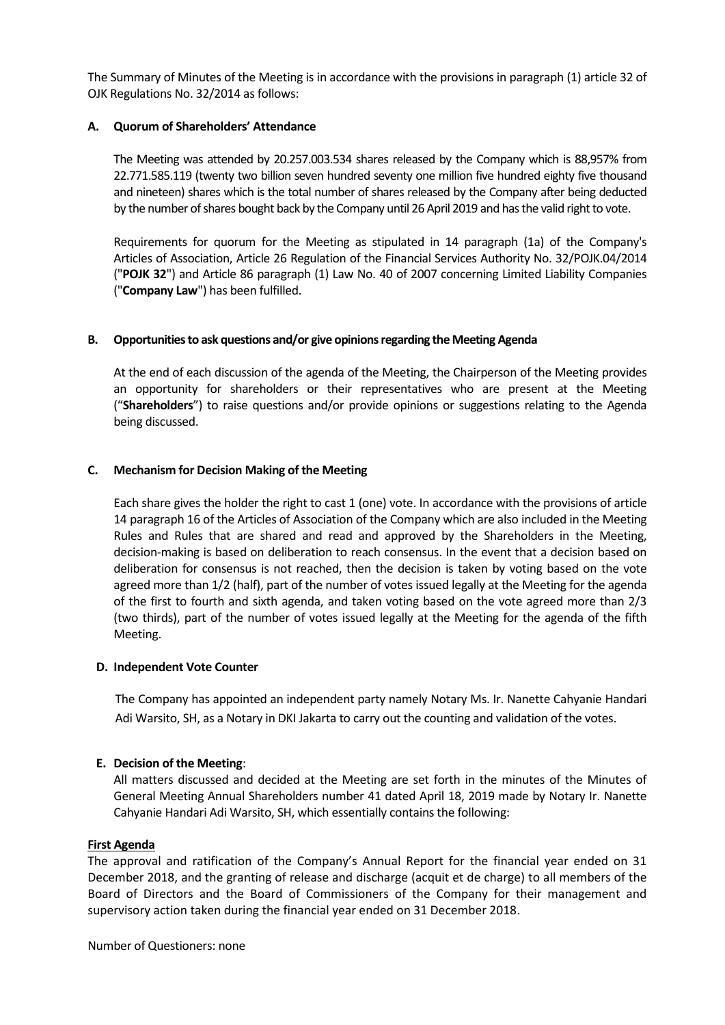The Summary of Minutes of the Meeting is in accordance with the provisions in paragraph (1) article 32 of OJK Regulations No. 32/2014 as follows:

#### **A. Quorum of Shareholders' Attendance**

The Meeting was attended by 20.257.003.534 shares released by the Company which is 88,957% from 22.771.585.119 (twenty two billion seven hundred seventy one million five hundred eighty five thousand and nineteen) shares which is the total number of shares released by the Company after being deducted by the number of shares bought back by the Company until 26 April 2019 and has the valid right to vote.

Requirements for quorum for the Meeting as stipulated in 14 paragraph (1a) of the Company's Articles of Association, Article 26 Regulation of the Financial Services Authority No. 32/POJK.04/2014 ("**POJK 32**") and Article 86 paragraph (1) Law No. 40 of 2007 concerning Limited Liability Companies ("**Company Law**") has been fulfilled.

#### **B. Opportunities to ask questions and/or give opinions regarding the Meeting Agenda**

At the end of each discussion of the agenda of the Meeting, the Chairperson of the Meeting provides an opportunity for shareholders or their representatives who are present at the Meeting ("**Shareholders**") to raise questions and/or provide opinions or suggestions relating to the Agenda being discussed.

#### **C. Mechanism for Decision Making of the Meeting**

Each share gives the holder the right to cast 1 (one) vote. In accordance with the provisions of article 14 paragraph 16 of the Articles of Association of the Company which are also included in the Meeting Rules and Rules that are shared and read and approved by the Shareholders in the Meeting, decision-making is based on deliberation to reach consensus. In the event that a decision based on deliberation for consensus is not reached, then the decision is taken by voting based on the vote agreed more than 1/2 (half), part of the number of votes issued legally at the Meeting for the agenda of the first to fourth and sixth agenda, and taken voting based on the vote agreed more than 2/3 (two thirds), part of the number of votes issued legally at the Meeting for the agenda of the fifth Meeting.

#### **D. Independent Vote Counter**

The Company has appointed an independent party namely Notary Ms. Ir. Nanette Cahyanie Handari Adi Warsito, SH, as a Notary in DKI Jakarta to carry out the counting and validation of the votes.

#### **E. Decision of the Meeting**:

All matters discussed and decided at the Meeting are set forth in the minutes of the Minutes of General Meeting Annual Shareholders number 41 dated April 18, 2019 made by Notary Ir. Nanette Cahyanie Handari Adi Warsito, SH, which essentially contains the following:

#### **First Agenda**

The approval and ratification of the Company's Annual Report for the financial year ended on 31 December 2018, and the granting of release and discharge (acquit et de charge) to all members of the Board of Directors and the Board of Commissioners of the Company for their management and supervisory action taken during the financial year ended on 31 December 2018.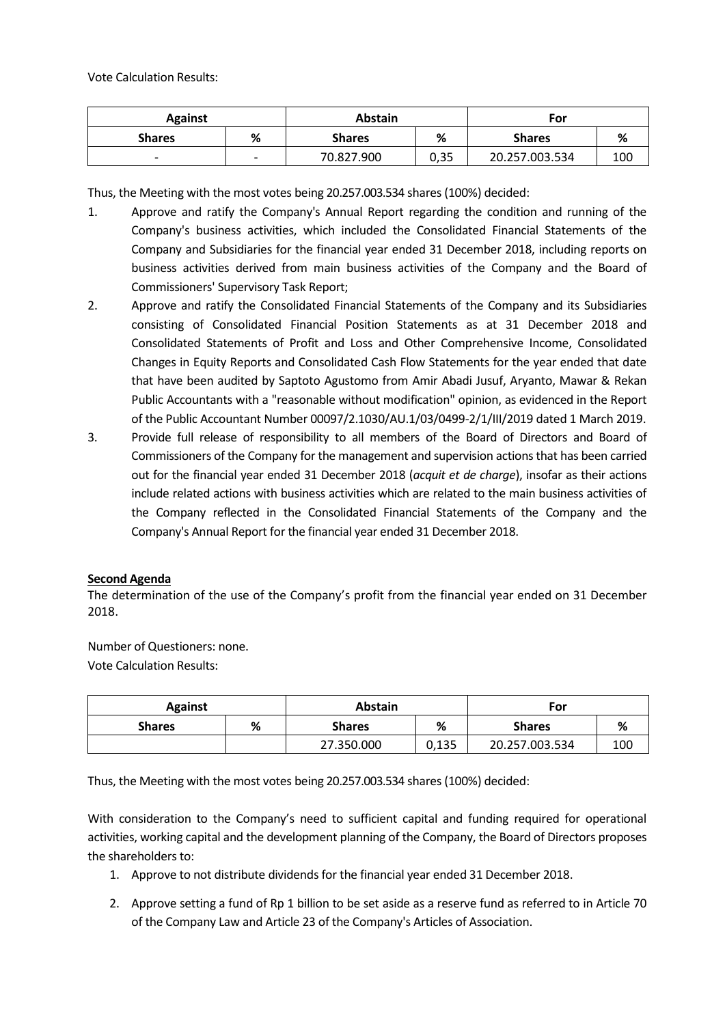Vote Calculation Results:

| <b>Against</b>           |                          | <b>Abstain</b> |      | For            |     |
|--------------------------|--------------------------|----------------|------|----------------|-----|
| <b>Shares</b>            | %                        | <b>Shares</b>  | %    | <b>Shares</b>  | %   |
| $\overline{\phantom{0}}$ | $\overline{\phantom{a}}$ | 70.827.900     | 0,35 | 20.257.003.534 | 100 |

Thus, the Meeting with the most votes being 20.257.003.534 shares (100%) decided:

- 1. Approve and ratify the Company's Annual Report regarding the condition and running of the Company's business activities, which included the Consolidated Financial Statements of the Company and Subsidiaries for the financial year ended 31 December 2018, including reports on business activities derived from main business activities of the Company and the Board of Commissioners' Supervisory Task Report;
- 2. Approve and ratify the Consolidated Financial Statements of the Company and its Subsidiaries consisting of Consolidated Financial Position Statements as at 31 December 2018 and Consolidated Statements of Profit and Loss and Other Comprehensive Income, Consolidated Changes in Equity Reports and Consolidated Cash Flow Statements for the year ended that date that have been audited by Saptoto Agustomo from Amir Abadi Jusuf, Aryanto, Mawar & Rekan Public Accountants with a "reasonable without modification" opinion, as evidenced in the Report of the Public Accountant Number 00097/2.1030/AU.1/03/0499-2/1/III/2019 dated 1 March 2019.
- 3. Provide full release of responsibility to all members of the Board of Directors and Board of Commissioners of the Company for the management and supervision actions that has been carried out for the financial year ended 31 December 2018 (*acquit et de charge*), insofar as their actions include related actions with business activities which are related to the main business activities of the Company reflected in the Consolidated Financial Statements of the Company and the Company's Annual Report for the financial year ended 31 December 2018.

#### **Second Agenda**

The determination of the use of the Company's profit from the financial year ended on 31 December 2018.

Number of Questioners: none. Vote Calculation Results:

| <b>Against</b> |   | <b>Abstain</b> |       | For            |     |
|----------------|---|----------------|-------|----------------|-----|
| <b>Shares</b>  | % | <b>Shares</b>  | %     | <b>Shares</b>  | %   |
|                |   | 27.350.000     | 0,135 | 20.257.003.534 | 100 |

Thus, the Meeting with the most votes being 20.257.003.534 shares (100%) decided:

With consideration to the Company's need to sufficient capital and funding required for operational activities, working capital and the development planning of the Company, the Board of Directors proposes the shareholders to:

- 1. Approve to not distribute dividends for the financial year ended 31 December 2018.
- 2. Approve setting a fund of Rp 1 billion to be set aside as a reserve fund as referred to in Article 70 of the Company Law and Article 23 of the Company's Articles of Association.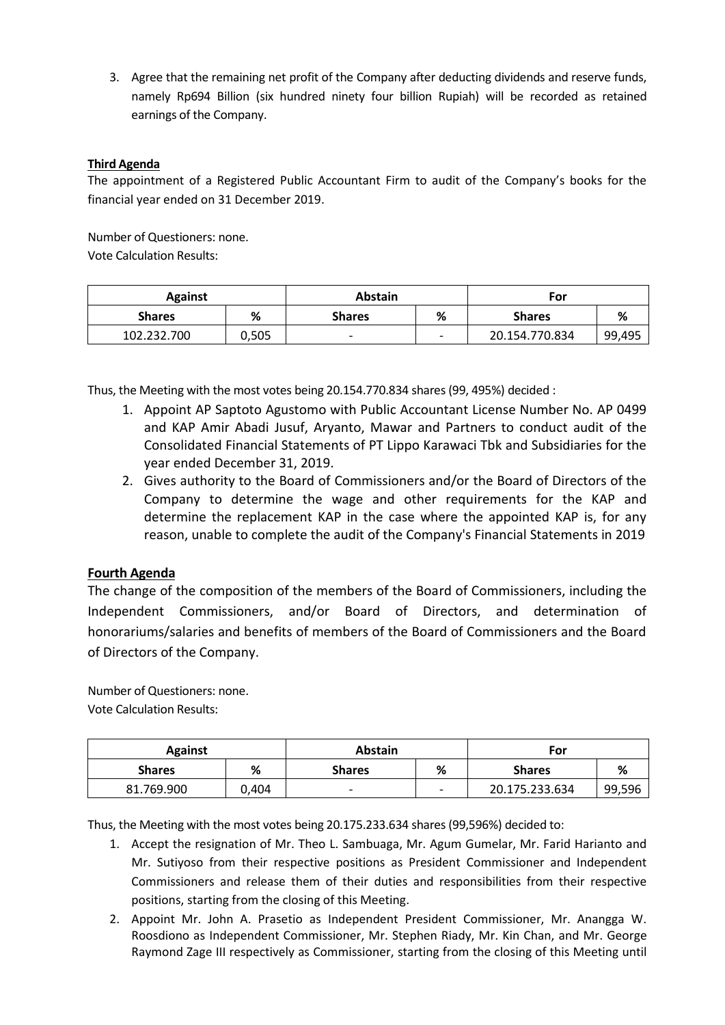3. Agree that the remaining net profit of the Company after deducting dividends and reserve funds, namely Rp694 Billion (six hundred ninety four billion Rupiah) will be recorded as retained earnings of the Company.

# **Third Agenda**

The appointment of a Registered Public Accountant Firm to audit of the Company's books for the financial year ended on 31 December 2019.

Number of Questioners: none. Vote Calculation Results:

| <b>Against</b> |       | <b>Abstain</b> |   | For            |        |
|----------------|-------|----------------|---|----------------|--------|
| <b>Shares</b>  | ℅     | <b>Shares</b>  | % | <b>Shares</b>  | %      |
| 102.232.700    | 0,505 |                |   | 20.154.770.834 | 99,495 |

Thus, the Meeting with the most votes being 20.154.770.834 shares (99, 495%) decided :

- 1. Appoint AP Saptoto Agustomo with Public Accountant License Number No. AP 0499 and KAP Amir Abadi Jusuf, Aryanto, Mawar and Partners to conduct audit of the Consolidated Financial Statements of PT Lippo Karawaci Tbk and Subsidiaries for the year ended December 31, 2019.
- 2. Gives authority to the Board of Commissioners and/or the Board of Directors of the Company to determine the wage and other requirements for the KAP and determine the replacement KAP in the case where the appointed KAP is, for any reason, unable to complete the audit of the Company's Financial Statements in 2019

# **Fourth Agenda**

The change of the composition of the members of the Board of Commissioners, including the Independent Commissioners, and/or Board of Directors, and determination of honorariums/salaries and benefits of members of the Board of Commissioners and the Board of Directors of the Company.

Number of Questioners: none. Vote Calculation Results:

| <b>Against</b> |       | <b>Abstain</b> |   | For            |        |
|----------------|-------|----------------|---|----------------|--------|
| <b>Shares</b>  | %     | <b>Shares</b>  | % | <b>Shares</b>  | %      |
| 81.769.900     | 0.404 |                |   | 20.175.233.634 | 99,596 |

Thus, the Meeting with the most votes being 20.175.233.634 shares (99,596%) decided to:

- 1. Accept the resignation of Mr. Theo L. Sambuaga, Mr. Agum Gumelar, Mr. Farid Harianto and Mr. Sutiyoso from their respective positions as President Commissioner and Independent Commissioners and release them of their duties and responsibilities from their respective positions, starting from the closing of this Meeting.
- 2. Appoint Mr. John A. Prasetio as Independent President Commissioner, Mr. Anangga W. Roosdiono as Independent Commissioner, Mr. Stephen Riady, Mr. Kin Chan, and Mr. George Raymond Zage III respectively as Commissioner, starting from the closing of this Meeting until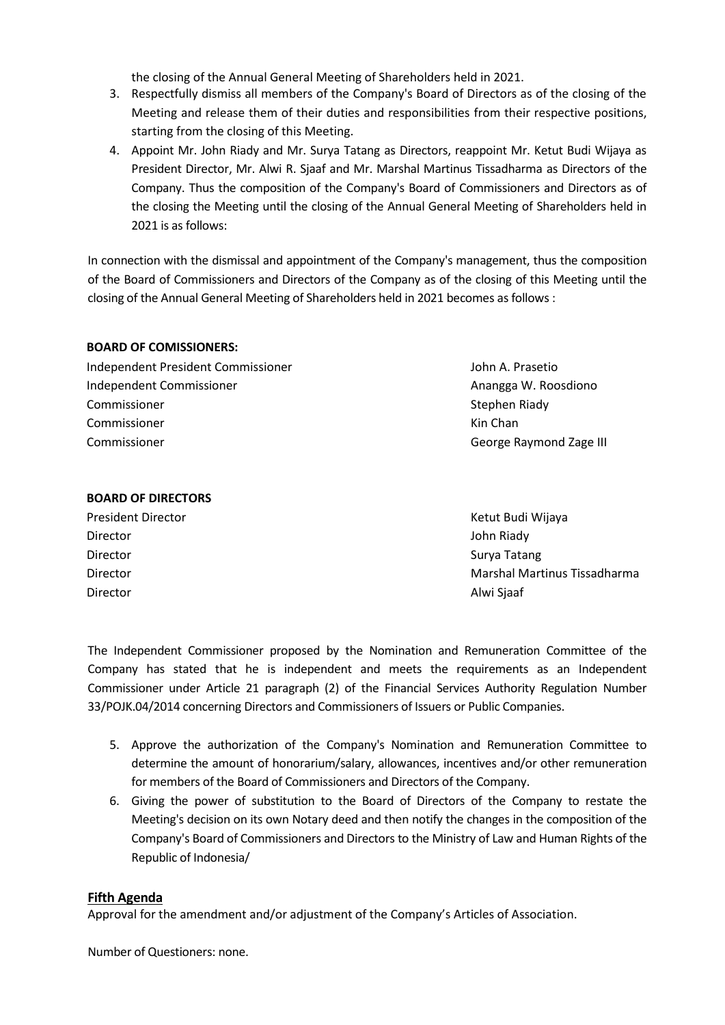the closing of the Annual General Meeting of Shareholders held in 2021.

- 3. Respectfully dismiss all members of the Company's Board of Directors as of the closing of the Meeting and release them of their duties and responsibilities from their respective positions, starting from the closing of this Meeting.
- 4. Appoint Mr. John Riady and Mr. Surya Tatang as Directors, reappoint Mr. Ketut Budi Wijaya as President Director, Mr. Alwi R. Sjaaf and Mr. Marshal Martinus Tissadharma as Directors of the Company. Thus the composition of the Company's Board of Commissioners and Directors as of the closing the Meeting until the closing of the Annual General Meeting of Shareholders held in 2021 is as follows:

In connection with the dismissal and appointment of the Company's management, thus the composition of the Board of Commissioners and Directors of the Company as of the closing of this Meeting until the closing of the Annual General Meeting of Shareholders held in 2021 becomes as follows :

#### **BOARD OF COMISSIONERS:**

Independent President Commissioner John A. Prasetio Independent Commissioner Anangga W. Roosdiono Commissioner Commissioner Commissioner

# **BOARD OF DIRECTORS**

President Director **Accord Accord President Director** Accord Accord Accord Accord Accord Accord Accord Accord Accord Accord Accord Accord Accord Accord Accord Accord Accord Accord Accord Accord Accord Accord Accord Accord Director John Riady Director Surya Tatang Director Surya Tatang Surya Tatang Surya Tatang Surya Tatang Surya Tatang Surya Tatang Surya Tatang Surya Tatang Surya Tatang Surya Tatang Surya Tatang Surya Tatang Surya Tatang Surya Tatang Surya Tat Director Alwi Sjaaf

Stephen Riady Kin Chan George Raymond Zage III

Director Marshal Martinus Tissadharma

The Independent Commissioner proposed by the Nomination and Remuneration Committee of the Company has stated that he is independent and meets the requirements as an Independent Commissioner under Article 21 paragraph (2) of the Financial Services Authority Regulation Number 33/POJK.04/2014 concerning Directors and Commissioners of Issuers or Public Companies.

- 5. Approve the authorization of the Company's Nomination and Remuneration Committee to determine the amount of honorarium/salary, allowances, incentives and/or other remuneration for members of the Board of Commissioners and Directors of the Company.
- 6. Giving the power of substitution to the Board of Directors of the Company to restate the Meeting's decision on its own Notary deed and then notify the changes in the composition of the Company's Board of Commissioners and Directors to the Ministry of Law and Human Rights of the Republic of Indonesia/

#### **Fifth Agenda**

Approval for the amendment and/or adjustment of the Company's Articles of Association.

Number of Questioners: none.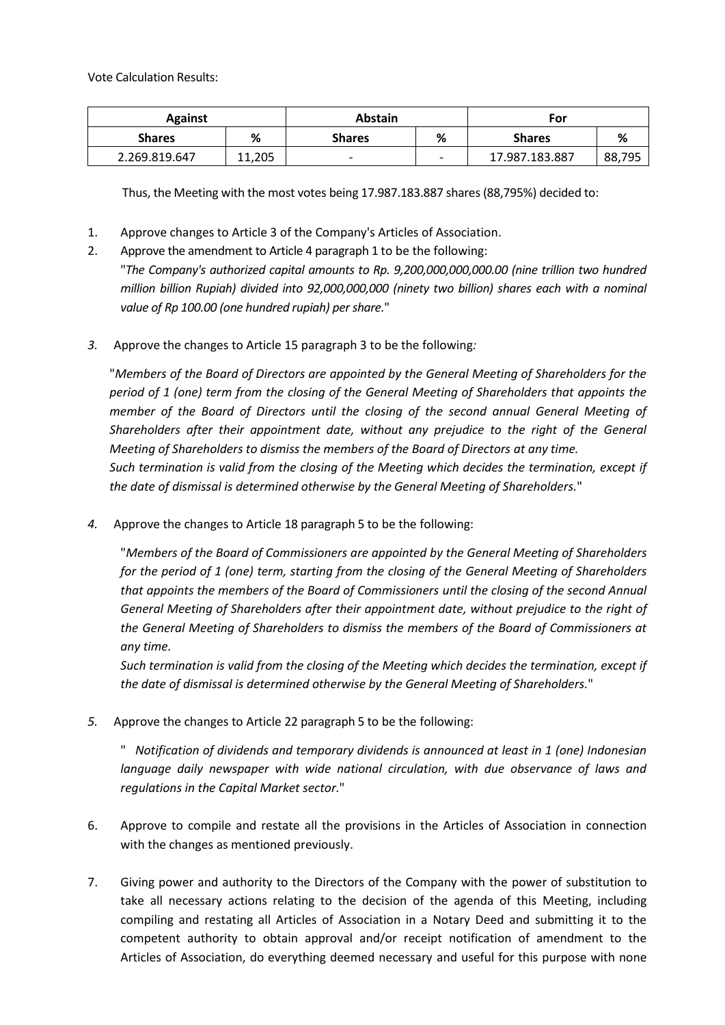Vote Calculation Results:

| <b>Against</b> |        | <b>Abstain</b> |                          | For            |        |
|----------------|--------|----------------|--------------------------|----------------|--------|
| <b>Shares</b>  | ℅      | <b>Shares</b>  | %                        | <b>Shares</b>  | %      |
| 2.269.819.647  | 11.205 |                | $\overline{\phantom{0}}$ | 17.987.183.887 | 88,795 |

Thus, the Meeting with the most votes being 17.987.183.887 shares (88,795%) decided to:

- 1. Approve changes to Article 3 of the Company's Articles of Association.
- 2. Approve the amendment to Article 4 paragraph 1 to be the following: "*The Company's authorized capital amounts to Rp. 9,200,000,000,000.00 (nine trillion two hundred million billion Rupiah) divided into 92,000,000,000 (ninety two billion) shares each with a nominal value of Rp 100.00 (one hundred rupiah) per share.*"
- *3.* Approve the changes to Article 15 paragraph 3 to be the following*:*

"*Members of the Board of Directors are appointed by the General Meeting of Shareholders for the period of 1 (one) term from the closing of the General Meeting of Shareholders that appoints the member of the Board of Directors until the closing of the second annual General Meeting of Shareholders after their appointment date, without any prejudice to the right of the General Meeting of Shareholders to dismiss the members of the Board of Directors at any time. Such termination is valid from the closing of the Meeting which decides the termination, except if the date of dismissal is determined otherwise by the General Meeting of Shareholders.*"

*4.* Approve the changes to Article 18 paragraph 5 to be the following:

"*Members of the Board of Commissioners are appointed by the General Meeting of Shareholders for the period of 1 (one) term, starting from the closing of the General Meeting of Shareholders that appoints the members of the Board of Commissioners until the closing of the second Annual General Meeting of Shareholders after their appointment date, without prejudice to the right of the General Meeting of Shareholders to dismiss the members of the Board of Commissioners at any time.*

*Such termination is valid from the closing of the Meeting which decides the termination, except if the date of dismissal is determined otherwise by the General Meeting of Shareholders.*"

*5.* Approve the changes to Article 22 paragraph 5 to be the following:

" *Notification of dividends and temporary dividends is announced at least in 1 (one) Indonesian*  language daily newspaper with wide national circulation, with due observance of laws and *regulations in the Capital Market sector.*"

- 6. Approve to compile and restate all the provisions in the Articles of Association in connection with the changes as mentioned previously.
- 7. Giving power and authority to the Directors of the Company with the power of substitution to take all necessary actions relating to the decision of the agenda of this Meeting, including compiling and restating all Articles of Association in a Notary Deed and submitting it to the competent authority to obtain approval and/or receipt notification of amendment to the Articles of Association, do everything deemed necessary and useful for this purpose with none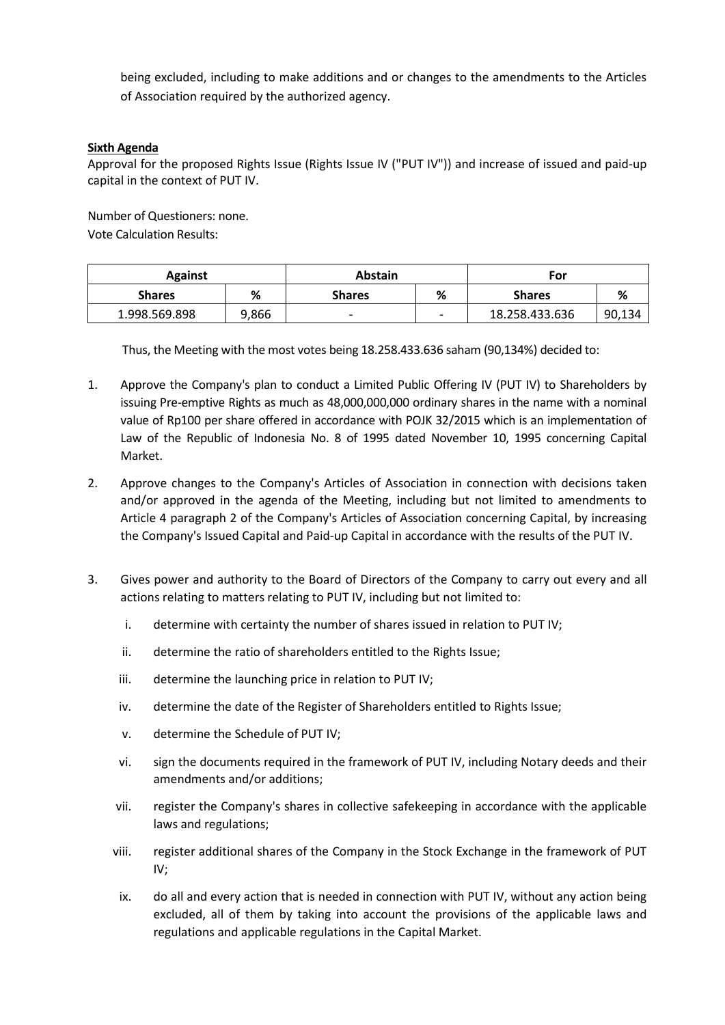being excluded, including to make additions and or changes to the amendments to the Articles of Association required by the authorized agency.

## **Sixth Agenda**

Approval for the proposed Rights Issue (Rights Issue IV ("PUT IV")) and increase of issued and paid-up capital in the context of PUT IV.

Number of Questioners: none.

Vote Calculation Results:

| <b>Against</b> |       | <b>Abstain</b>           |   | For            |        |
|----------------|-------|--------------------------|---|----------------|--------|
| <b>Shares</b>  | %     | <b>Shares</b>            | % | <b>Shares</b>  | %      |
| 1.998.569.898  | 9,866 | $\overline{\phantom{0}}$ | - | 18.258.433.636 | 90,134 |

Thus, the Meeting with the most votes being 18.258.433.636 saham (90,134%) decided to:

- 1. Approve the Company's plan to conduct a Limited Public Offering IV (PUT IV) to Shareholders by issuing Pre-emptive Rights as much as 48,000,000,000 ordinary shares in the name with a nominal value of Rp100 per share offered in accordance with POJK 32/2015 which is an implementation of Law of the Republic of Indonesia No. 8 of 1995 dated November 10, 1995 concerning Capital Market.
- 2. Approve changes to the Company's Articles of Association in connection with decisions taken and/or approved in the agenda of the Meeting, including but not limited to amendments to Article 4 paragraph 2 of the Company's Articles of Association concerning Capital, by increasing the Company's Issued Capital and Paid-up Capital in accordance with the results of the PUT IV.
- 3. Gives power and authority to the Board of Directors of the Company to carry out every and all actions relating to matters relating to PUT IV, including but not limited to:
	- i. determine with certainty the number of shares issued in relation to PUT IV;
	- ii. determine the ratio of shareholders entitled to the Rights Issue;
	- iii. determine the launching price in relation to PUT IV;
	- iv. determine the date of the Register of Shareholders entitled to Rights Issue;
	- v. determine the Schedule of PUT IV;
	- vi. sign the documents required in the framework of PUT IV, including Notary deeds and their amendments and/or additions;
	- vii. register the Company's shares in collective safekeeping in accordance with the applicable laws and regulations;
	- viii. register additional shares of the Company in the Stock Exchange in the framework of PUT IV;
	- ix. do all and every action that is needed in connection with PUT IV, without any action being excluded, all of them by taking into account the provisions of the applicable laws and regulations and applicable regulations in the Capital Market.